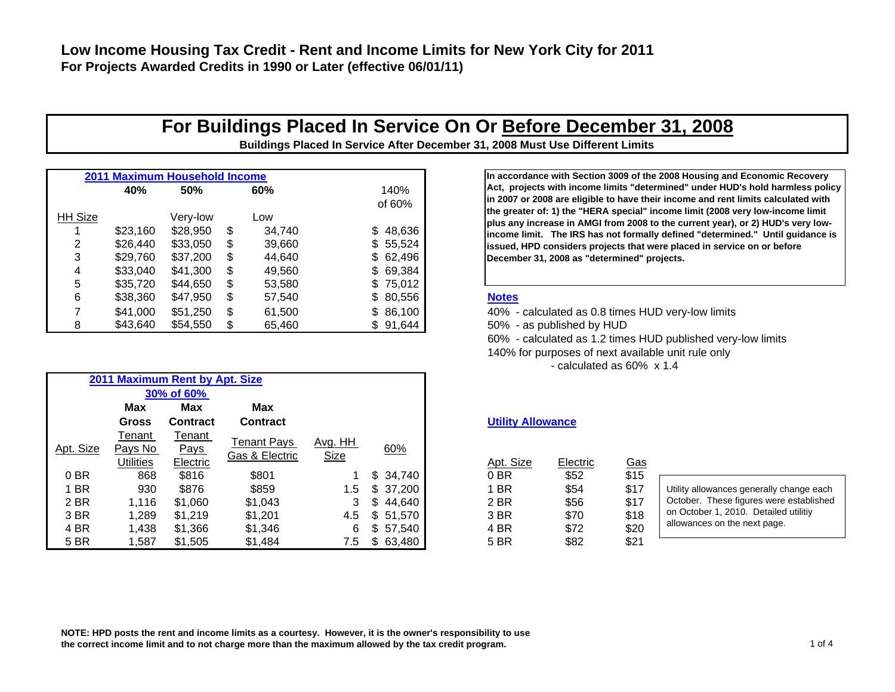## **For Buildings Placed In Service On Or Before December 31, 2008**

**Buildings Placed In Service After December 31, 2008 Must Use Different Limits**

|                |          | <b>2011 Maximum Household Income</b> |     |        |           | In accordance with Section 3009 of the 2008 Housing and                                                                 |
|----------------|----------|--------------------------------------|-----|--------|-----------|-------------------------------------------------------------------------------------------------------------------------|
|                | 40%      | 50%                                  |     | 60%    | 140%      | Act, projects with income limits "determined" under HUI                                                                 |
|                |          |                                      |     |        | of 60%    | in 2007 or 2008 are eligible to have their income and rent<br>the greater of: 1) the "HERA special" income limit (2008) |
| <b>HH Size</b> |          | Very-low                             |     | Low    |           | plus any increase in AMGI from 2008 to the current year)                                                                |
|                | \$23.160 | \$28,950                             | \$. | 34.740 | \$48,636  | income limit. The IRS has not formally defined "determi                                                                 |
|                | \$26,440 | \$33,050                             | S   | 39,660 | \$55,524  | issued, HPD considers projects that were placed in servi                                                                |
|                | \$29.760 | \$37,200                             | \$. | 44.640 | \$62,496  | December 31, 2008 as "determined" projects.                                                                             |
| 4              | \$33,040 | \$41,300                             | S   | 49.560 | \$69,384  |                                                                                                                         |
|                | \$35,720 | \$44.650                             | S   | 53,580 | \$75,012  |                                                                                                                         |
|                | \$38,360 | \$47,950                             | S   | 57.540 | \$ 80,556 | <b>Notes</b>                                                                                                            |
|                | \$41.000 | \$51,250                             | S.  | 61.500 | \$86,100  | 40% - calculated as 0.8 times HUD very-low limits                                                                       |
|                | \$43,640 | \$54,550                             |     | 65,460 | \$91,644  | 50% - as published by HUD                                                                                               |

Tenant Pays <u>Gas & Electric</u> Avg. HH Size

60%

**Max Max MaxGross Contract Contract**

**2011 Maximum Rent by Apt. Size 30% of 60%** 

> Tenant Pays Electric

Apt. Size

Tenant Pays No **Utilities** 

| In accordance with Section 3009 of the 2008 Housing and Economic Recovery         |
|-----------------------------------------------------------------------------------|
| Act, projects with income limits "determined" under HUD's hold harmless policy    |
| in 2007 or 2008 are eligible to have their income and rent limits calculated with |
| the greater of: 1) the "HERA special" income limit (2008 very low-income limit    |
| plus any increase in AMGI from 2008 to the current year), or 2) HUD's very low-   |
| income limit. The IRS has not formally defined "determined." Until quidance is    |
| issued, HPD considers projects that were placed in service on or before           |
| December 31, 2008 as "determined" projects.                                       |
|                                                                                   |

60% - calculated as 1.2 times HUD published ver y-low limits 140% for purposes of next available unit rule only

- calculated as 60% x 1.4

### **Utility Allowance**

|      | Jtilities | Electric | שווטטובו בוטטווי | יייי |              | Apt. Size | Electric | <u>Gas</u> |
|------|-----------|----------|------------------|------|--------------|-----------|----------|------------|
| 0 BR | 868       | \$816    | \$801            |      | \$34,740     | 0B        | \$52     | \$15       |
| 1 BR | 930       | \$876    | \$859            | 1.5  | \$37,200     | 1 BR      | \$54     | \$17       |
| 2 BR | 1.116     | \$1,060  | \$1,043          |      | 44.640       | 2 BR      | \$56     | \$17       |
| 3 BR | 1.289     | \$1.219  | \$1.201          | 4.5  | 51,570       | 3 BR      | \$70     | \$18       |
| 4 BR | 1.438     | \$1,366  | \$1,346          |      | 57.540       | 4 BR      | \$72     | \$20       |
| 5 BR | ,587      | \$1,505  | \$1,484          | 7.5  | \$<br>63,480 | 5 BR      | \$82     | \$21       |

| Utility allowances generally change each |
|------------------------------------------|
| October. These figures were established  |
| on October 1, 2010. Detailed utilitiy    |
| allowances on the next page.             |
|                                          |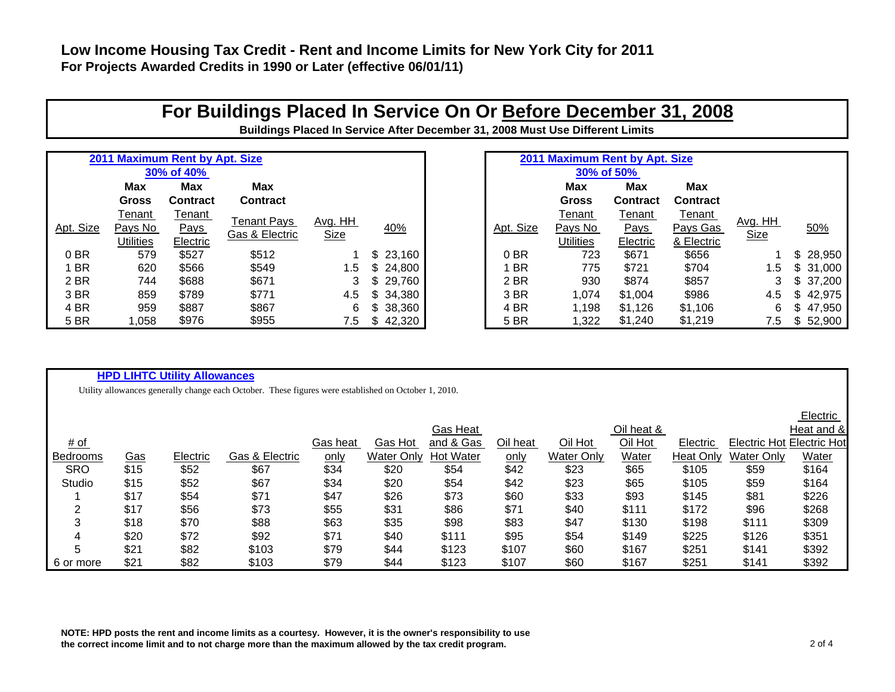## **Low Income Housing Tax Credit - Rent and Income Limits for New York City for 2011 For Projects Awarded Credits in 1990 or Later (effective 06/01/11)**

## **For Buildings Placed In Service On Or Before December 31, 2008**

**Buildings Placed In Service After December 31, 2008 Must Use Different Limits**

|           |                  | 2011 Maximum Rent by Apt. Size |                 |         |               |           | 2011 Maximum Rent by Apt. Size |                 |                 |                |          |
|-----------|------------------|--------------------------------|-----------------|---------|---------------|-----------|--------------------------------|-----------------|-----------------|----------------|----------|
|           |                  | 30% of 40%                     |                 |         |               |           |                                |                 |                 |                |          |
|           | <b>Max</b>       | Max                            | <b>Max</b>      |         |               |           | Max                            | Max             | Max             |                |          |
|           | <b>Gross</b>     | <b>Contract</b>                | <b>Contract</b> |         |               |           | <b>Gross</b>                   | <b>Contract</b> | <b>Contract</b> |                |          |
|           | Tenant           | Tenant                         | Tenant Pays     | Avg. HH |               |           | Tenant                         | Tenant          | Tenant          |                |          |
| Apt. Size | Pays No          | <b>Pays</b>                    | Gas & Electric  |         | 40%           | Apt. Size | Pays No                        | <b>Pays</b>     | Pays Gas        | <u>Avg. HH</u> | 50%      |
|           | <b>Utilities</b> | Electric                       |                 | Size    |               |           | Utilities                      | Electric        | & Electric      | Size           |          |
| 0 BR      | 579              | \$527                          | \$512           |         | 23,160        | 0 BR      | 723                            | \$671           | \$656           |                | \$28,950 |
| <b>BR</b> | 620              | \$566                          | \$549           | 1.5     | 24,800        | <b>BR</b> | 775                            | \$721           | \$704           | 1.5            | \$31,000 |
| 2 BR      | 744              | \$688                          | \$671           | 3       | 29,760        | 2 BR      | 930                            | \$874           | \$857           | 3              | \$37,200 |
| 3 BR      | 859              | \$789                          | \$771           | 4.5     | 34,380<br>\$. | 3 BR      | 1,074                          | \$1,004         | \$986           | 4.5            | \$42,975 |
| 4 BR      | 959              | \$887                          | \$867           | 6.      | 38,360        | 4 BR      | 1,198                          | \$1,126         | \$1,106         | 6              | 47,950   |
| 5 BR      | 1,058            | \$976                          | \$955           | 7.5     | 42,320        | 5 BR      | 1,322                          | \$1,240         | \$1,219         | 7.5            | \$52,900 |

### **HPD LIHTC Utility Allowances**

Utility allowances generally change each October. These figures were established on October 1, 2010.

|            |            |          |                |             |                   |                  |             |                   |            |                  |                           | LIGUULU    |
|------------|------------|----------|----------------|-------------|-------------------|------------------|-------------|-------------------|------------|------------------|---------------------------|------------|
|            |            |          |                |             |                   | Gas Heat         |             |                   | Oil heat & |                  |                           | Heat and & |
| # of       |            |          |                | Gas heat    | Gas Hot           | and & Gas        | Oil heat    | Oil Hot           | Oil Hot    | Electric         | Electric Hot Electric Hot |            |
| Bedrooms   | <u>Gas</u> | Electric | Gas & Electric | <u>only</u> | <b>Water Only</b> | <b>Hot Water</b> | <u>only</u> | <b>Water Only</b> | Water      | <b>Heat Only</b> | <b>Water Only</b>         | Water      |
| <b>SRO</b> | \$15       | \$52     | \$67           | \$34        | \$20              | \$54             | \$42        | \$23              | \$65       | \$105            | \$59                      | \$164      |
| Studio     | \$15       | \$52     | \$67           | \$34        | \$20              | \$54             | \$42        | \$23              | \$65       | \$105            | \$59                      | \$164      |
|            | \$17       | \$54     | \$71           | \$47        | \$26              | \$73             | \$60        | \$33              | \$93       | \$145            | \$81                      | \$226      |
| ົ          | \$17       | \$56     | \$73           | \$55        | \$31              | \$86             | \$71        | \$40              | \$111      | \$172            | \$96                      | \$268      |
|            | \$18       | \$70     | \$88           | \$63        | \$35              | \$98             | \$83        | \$47              | \$130      | \$198            | \$111                     | \$309      |
| 4          | \$20       | \$72     | \$92           | \$71        | \$40              | \$111            | \$95        | \$54              | \$149      | \$225            | \$126                     | \$351      |
| 5          | \$21       | \$82     | \$103          | \$79        | \$44              | \$123            | \$107       | \$60              | \$167      | \$251            | \$141                     | \$392      |
| 6 or more  | \$21       | \$82     | \$103          | \$79        | \$44              | \$123            | \$107       | \$60              | \$167      | \$251            | \$141                     | \$392      |

**NOTE: HPD posts the rent and income limits as a courtesy. However, it is the owner's responsibility to use the correct income limit and to not charge more than the maximum allowed by the tax credit program.** 2 of 4

Electric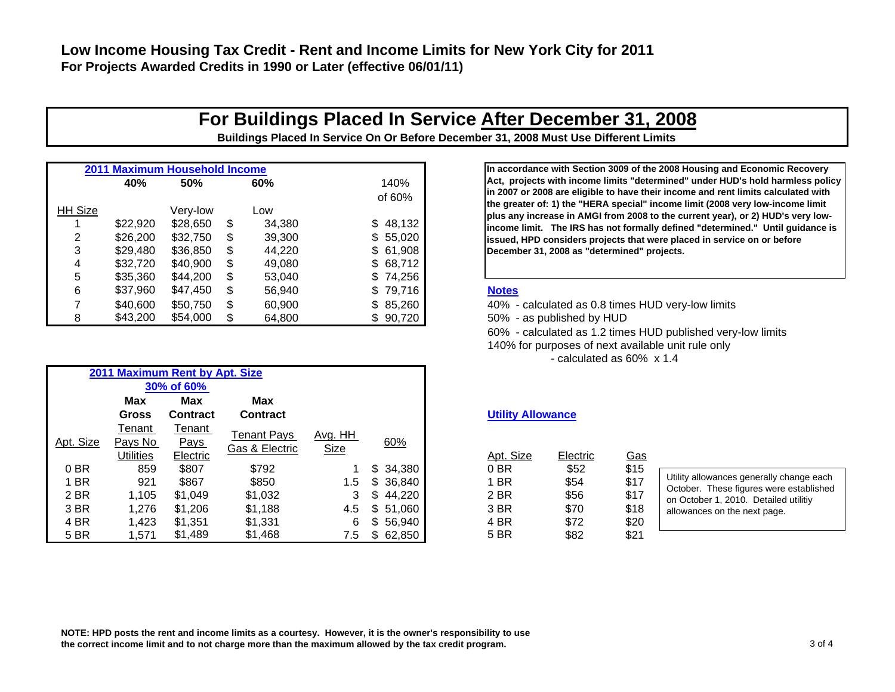## **For Buildings Placed In Service After December 31, 2008**

**Buildings Placed In Service On Or Before December 31, 2008 Must Use Different Limits**

|                | 2011 Maximum Household Income |            |     |        |          | In accordance with Section 3009 of the 2008 Housing and                                                               |
|----------------|-------------------------------|------------|-----|--------|----------|-----------------------------------------------------------------------------------------------------------------------|
|                | 40%                           | 50%<br>60% |     |        | 140%     | Act, projects with income limits "determined" under HUI                                                               |
|                |                               |            |     |        | of 60%   | in 2007 or 2008 are eligible to have their income and rent                                                            |
| <b>HH Size</b> |                               | Very-low   |     | Low    |          | the greater of: 1) the "HERA special" income limit (2008)<br>plus any increase in AMGI from 2008 to the current year) |
|                | \$22,920                      | \$28.650   | \$. | 34.380 | \$48,132 | income limit. The IRS has not formally defined "determi                                                               |
|                | \$26,200                      | \$32,750   |     | 39.300 | \$55,020 | issued, HPD considers projects that were placed in servi                                                              |
|                | \$29,480                      | \$36,850   | S   | 44.220 | \$61,908 | December 31, 2008 as "determined" projects.                                                                           |
|                | \$32,720                      | \$40.900   |     | 49.080 | \$68,712 |                                                                                                                       |
|                | \$35,360                      | \$44,200   |     | 53.040 | \$74,256 |                                                                                                                       |
| 6              | \$37,960                      | \$47,450   | S.  | 56,940 | \$79,716 | <b>Notes</b>                                                                                                          |
|                | \$40,600                      | \$50.750   | \$. | 60.900 | \$85,260 | 40% - calculated as 0.8 times HUD very-low limits                                                                     |
| 8              | \$43,200                      | \$54,000   |     | 64,800 | \$90,720 | 50% - as published by HUD                                                                                             |

| In accordance with Section 3009 of the 2008 Housing and Economic Recovery         |  |  |  |  |  |  |  |  |  |
|-----------------------------------------------------------------------------------|--|--|--|--|--|--|--|--|--|
| Act,projects with income limits "determined" under HUD's hold harmless policy     |  |  |  |  |  |  |  |  |  |
| in 2007 or 2008 are eligible to have their income and rent limits calculated with |  |  |  |  |  |  |  |  |  |
| the greater of: 1) the "HERA special" income limit (2008 very low-income limit    |  |  |  |  |  |  |  |  |  |
| plus any increase in AMGI from 2008 to the current year), or 2) HUD's very low-   |  |  |  |  |  |  |  |  |  |
| income limit. The IRS has not formally defined "determined." Until quidance is    |  |  |  |  |  |  |  |  |  |
| issued, HPD considers projects that were placed in service on or before           |  |  |  |  |  |  |  |  |  |
| December 31, 2008 as "determined" projects.                                       |  |  |  |  |  |  |  |  |  |
|                                                                                   |  |  |  |  |  |  |  |  |  |

60% - calculated as 1.2 times HUD published ver y-low limits

140% for purposes of next available unit rule only

- calculated as 60% x 1.4

### **Utility Allowance**

| Apt. Size | Electric | Gas  |
|-----------|----------|------|
| 0 BR      | \$52     | \$15 |
| 1 BR      | \$54     | \$17 |
| 2 BR      | \$56     | \$17 |
| 3 BR      | \$70     | \$18 |
| 4 BR      | \$72     | \$20 |
| 5 BR      | \$82     | \$21 |

**NOTE: HPD posts the rent and income limits as a courtesy. However, it is the owner's responsibility to use the correct income limit and to not charge more than the maximum allowed by the tax credit program.** 3 of 4

|           |                  | 2011 Maximum Rent by Apt. Size |                |                |     |          |                          |          |            |
|-----------|------------------|--------------------------------|----------------|----------------|-----|----------|--------------------------|----------|------------|
|           |                  | 30% of 60%                     |                |                |     |          |                          |          |            |
|           | <b>Max</b>       | <b>Max</b>                     | <b>Max</b>     |                |     |          |                          |          |            |
|           | <b>Gross</b>     | <b>Contract</b>                | Contract       |                |     |          | <b>Utility Allowance</b> |          |            |
|           | Tenant           | Tenant                         | Tenant Pays    | <u>Avg. HH</u> |     |          |                          |          |            |
| Apt. Size | Pays No          | Pays                           | Gas & Electric | Size           |     | 60%      |                          |          |            |
|           | <b>Utilities</b> | Electric                       |                |                |     |          | Apt. Size                | Electric | <u>Gas</u> |
| 0 BR      | 859              | \$807                          | \$792          |                | \$  | 34,380   | 0BR                      | \$52     | \$15       |
| 1 BR      | 921              | \$867                          | \$850          | 1.5            |     | \$36,840 | 1 BR                     | \$54     | \$17       |
| 2 BR      | 1,105            | \$1.049                        | \$1,032        | 3              | \$. | 44,220   | 2 BR                     | \$56     | \$17       |
| 3 BR      | 1,276            | \$1,206                        | \$1,188        | 4.5            | \$  | 51,060   | 3 BR                     | \$70     | \$18       |
| 4 BR      | 1,423            | \$1,351                        | \$1,331        | 6              | \$. | 56,940   | 4 BR                     | \$72     | \$20       |
| 5 BR      | 1,571            | \$1,489                        | \$1,468        | 7.5            | S.  | 62,850   | 5 BR                     | \$82     | \$21       |